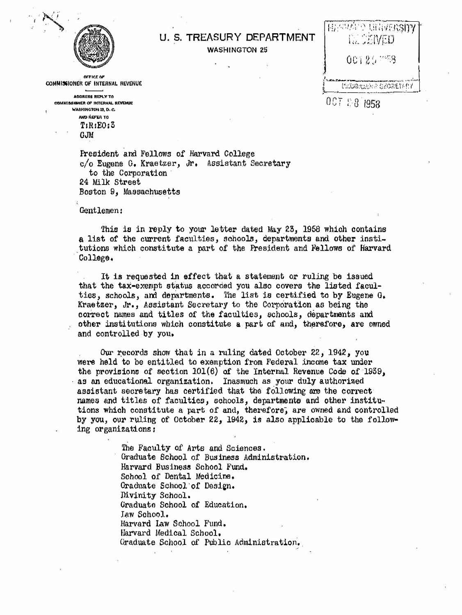

## U. S. TREASURY DEPARTMENT **WASHINGTON 25**

**OFFICE OF** COMMISSIONER OF INTERNAL REVENUE

AODRESS REPLY TO COMMISSIONER OF INTERNAL REVENUE **WASHINGTON 25, D. C.** AND REFER TO  $T:R:EO:3$ 

**GJM** 

President and Fellows of Harvard College c/o Eugene G. Kraetzer, Jr. Assistant Secretary to the Corporation 24 Milk Street Boston 9. Massachusetts

Gentlemen:

This is in reply to your letter dated May 23, 1958 which contains a list of the current faculties, schools, departments and other institutions which constitute a part of the President and Fellows of Harvard College.

It is requested in effect that a statement or ruling be issued that the tax-exempt status accorded you also covers the listed faculties, schools, and departments. The list is certified to by Eugene G. Kraetzer, Jr., Assistant Secretary to the Corporation as being the correct names and titles of the faculties, schools, departments and other institutions which constitute a part of and, therefore, are owned and controlled by you.

Our records show that in a ruling dated October 22, 1942, you were held to be entitled to exemption from Federal income tax under the provisions of section  $101(6)$  of the Internal Revenue Code of 1939. as an educational organization. Inasmuch as your duly authorized assistant secretary has certified that the following are the correct names and titles of faculties, schools, departments and other institutions which constitute a part of and, therefore, are owned and controlled by you, our ruling of October 22, 1942, is also applicable to the following organizations:

> The Faculty of Arts and Sciences. Graduate School of Business Administration. Harvard Business School Fund. School of Dental Medicine. Graduate School of Design. Divinity School. Graduate School of Education. Iaw School. Harvard Law School Fund. Harvard Medical School. Graduate School of Public Administration.

再不明星的 电电视摄影的 00125 LE COMERNE SECRETARY 007 28 1958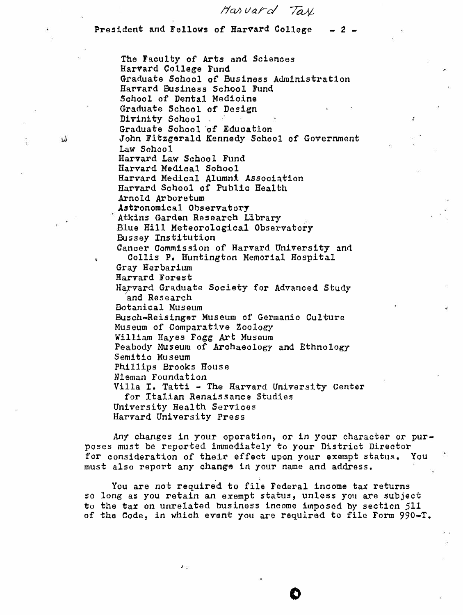*!ial'> Varcl Ta-¼* 

President and Fellows of Harvard College  $- 2 -$ 

The Faculty *of* Arts and Sciences Harvard College Fund Graduate Sohool of Business Administration Harvard Business School Fund School of Dental Medicine Graduate School of Design Divinity School Graduate School of Education John Fitzgerald Kennedy School of Government Law School Harvard Law School Fund Harvard Medical School Harvard Medical Alumni Association Harvard School of Public Health Arnold Arboretum Astronomical Observatory Atkins Garden Research Llbrary Blue Hill Meteorological Observatory Bussey Institution Cancer Commission of Harvard University and Collis P, Huntington Memorial Hospital Gray Herbariwn Harvard Forest Harvard Graduate Society for Advanced Study 'and Research Botanical Museum Busch-Reisinger Museum of Germanic Culture Museum of Comparative Zoology William Hayes Fogg Art Museum Peabody Museum of Archaeology and Ethnology Semitic Museum Phillips Brooks House Nieman Foundation Villa I. Tatti - The Harvard University Center for Italian Renaissance Studies University Health Services Harvard University Press

Any changes in your operation, or in your character or purposes must be reported inunediately to your District Director for consideration of their effect upon your exempt status. You must also report any change in your name and address,

You are not required to file Federal income tax returns so long as you retain an exempt status, unless you are subject to the tax on unrelated business income imposed by section 511 of the Code, in which event you are required to file Form 990-T.

 $\bullet$ 

 $2.52$ 

1)